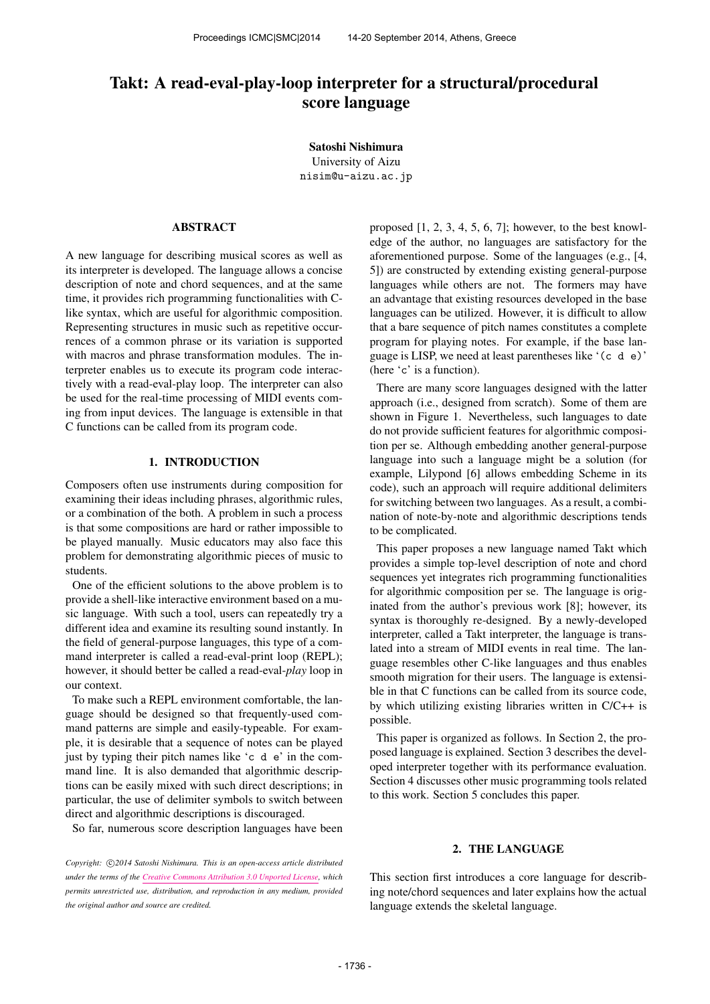# Takt: A read-eval-play-loop interpreter for a structural/procedural score language

Satoshi Nishimura University of Aizu [nisim@u-aizu.ac.jp](mailto:nisim@u-aizu.ac.jp)

# ABSTRACT

A new language for describing musical scores as well as its interpreter is developed. The language allows a concise description of note and chord sequences, and at the same time, it provides rich programming functionalities with Clike syntax, which are useful for algorithmic composition. Representing structures in music such as repetitive occurrences of a common phrase or its variation is supported with macros and phrase transformation modules. The interpreter enables us to execute its program code interactively with a read-eval-play loop. The interpreter can also be used for the real-time processing of MIDI events coming from input devices. The language is extensible in that C functions can be called from its program code.

# 1. INTRODUCTION

Composers often use instruments during composition for examining their ideas including phrases, algorithmic rules, or a combination of the both. A problem in such a process is that some compositions are hard or rather impossible to be played manually. Music educators may also face this problem for demonstrating algorithmic pieces of music to students.

One of the efficient solutions to the above problem is to provide a shell-like interactive environment based on a music language. With such a tool, users can repeatedly try a different idea and examine its resulting sound instantly. In the field of general-purpose languages, this type of a command interpreter is called a read-eval-print loop (REPL); however, it should better be called a read-eval-*play* loop in our context.

To make such a REPL environment comfortable, the language should be designed so that frequently-used command patterns are simple and easily-typeable. For example, it is desirable that a sequence of notes can be played just by typing their pitch names like 'c d e' in the command line. It is also demanded that algorithmic descriptions can be easily mixed with such direct descriptions; in particular, the use of delimiter symbols to switch between direct and algorithmic descriptions is discouraged.

So far, numerous score description languages have been

Copyright:  $\bigcirc$ 2014 Satoshi Nishimura. This is an open-access article distributed *under the terms of the [Creative Commons Attribution 3.0 Unported License,](http://creativecommons.org/licenses/by/3.0/) which permits unrestricted use, distribution, and reproduction in any medium, provided the original author and source are credited.*

proposed [1, 2, 3, 4, 5, 6, 7]; however, to the best knowledge of the author, no languages are satisfactory for the aforementioned purpose. Some of the languages (e.g., [4, 5]) are constructed by extending existing general-purpose languages while others are not. The formers may have an advantage that existing resources developed in the base languages can be utilized. However, it is difficult to allow that a bare sequence of pitch names constitutes a complete program for playing notes. For example, if the base language is LISP, we need at least parentheses like '(c d e)' (here 'c' is a function).

There are many score languages designed with the latter approach (i.e., designed from scratch). Some of them are shown in Figure 1. Nevertheless, such languages to date do not provide sufficient features for algorithmic composition per se. Although embedding another general-purpose language into such a language might be a solution (for example, Lilypond [6] allows embedding Scheme in its code), such an approach will require additional delimiters for switching between two languages. As a result, a combination of note-by-note and algorithmic descriptions tends to be complicated.

This paper proposes a new language named Takt which provides a simple top-level description of note and chord sequences yet integrates rich programming functionalities for algorithmic composition per se. The language is originated from the author's previous work [8]; however, its syntax is thoroughly re-designed. By a newly-developed interpreter, called a Takt interpreter, the language is translated into a stream of MIDI events in real time. The language resembles other C-like languages and thus enables smooth migration for their users. The language is extensible in that C functions can be called from its source code, by which utilizing existing libraries written in C/C++ is possible.

This paper is organized as follows. In Section 2, the proposed language is explained. Section 3 describes the developed interpreter together with its performance evaluation. Section 4 discusses other music programming tools related to this work. Section 5 concludes this paper.

#### 2. THE LANGUAGE

This section first introduces a core language for describing note/chord sequences and later explains how the actual language extends the skeletal language.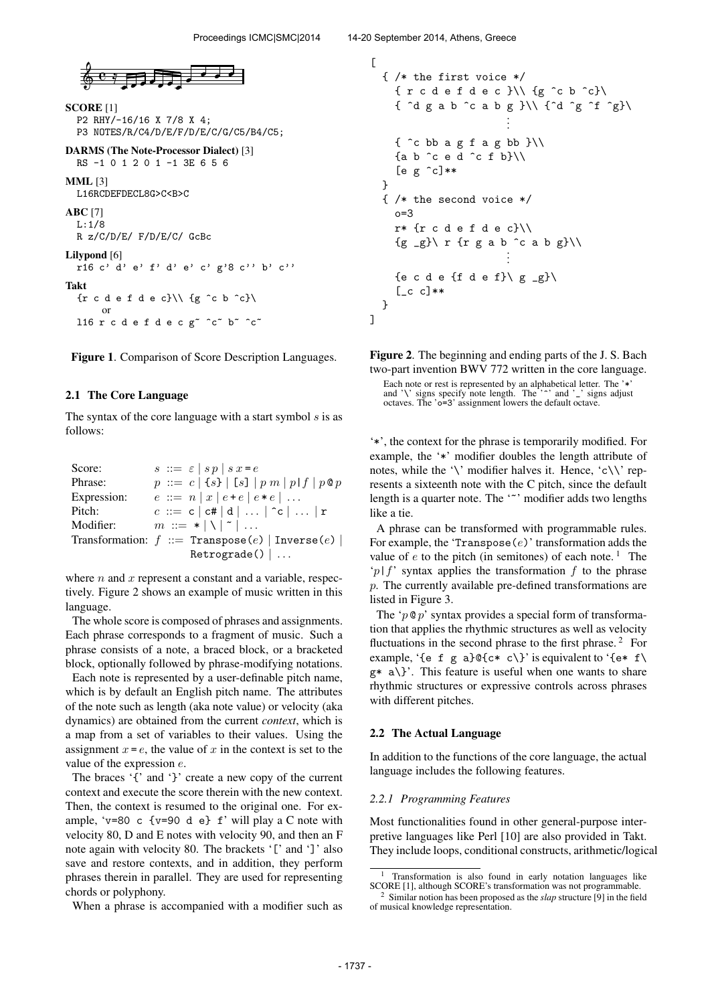

```
SCORE [1]
  P2 RHY/-16/16 X 7/8 X 4;
  P3 NOTES/R/C4/D/E/F/D/E/C/G/C5/B4/C5;
DARMS (The Note-Processor Dialect) [3]
  RS -1 0 1 2 0 1 -1 3E 6 5 6
MML [3]
  L16RCDEFDECL8G>C<B>C
ABC [7]
  L:1/8
  R z/C/D/E/ F/D/E/C/ GcBc
Lilypond [6]
  r16 c' d' e' f' d' e' c' g'8 c'' b' c''
```
Takt

 $\{r \in d \in f \in c\} \setminus \{g \in b \in c\}$ or l16 r c d e f d e c g~ ^c~ b~ ^c~

Figure 1. Comparison of Score Description Languages.

## 2.1 The Core Language

The syntax of the core language with a start symbol  $s$  is as follows:

| Score:      | $s ::= \varepsilon   sp   s x = e$                |
|-------------|---------------------------------------------------|
| Phrase:     | $p ::= c   \{s\}   [s]   p m   p   f   p \circ p$ |
| Expression: | $e ::= n   x   e + e   e * e   $                  |
| Pitch:      | $c ::= c   c#   d      c      r$                  |
| Modifier:   | $m ::= *   \   \   \   \ $                        |
|             | Transformation: $f ::=$ Transpose(e)   Inverse(e) |
|             | Retrograde()                                      |

where  $n$  and  $x$  represent a constant and a variable, respectively. Figure 2 shows an example of music written in this language.

The whole score is composed of phrases and assignments. Each phrase corresponds to a fragment of music. Such a phrase consists of a note, a braced block, or a bracketed block, optionally followed by phrase-modifying notations.

Each note is represented by a user-definable pitch name, which is by default an English pitch name. The attributes of the note such as length (aka note value) or velocity (aka dynamics) are obtained from the current *context*, which is a map from a set of variables to their values. Using the assignment  $x = e$ , the value of x in the context is set to the value of the expression  $e$ .

The braces '{' and '}' create a new copy of the current context and execute the score therein with the new context. Then, the context is resumed to the original one. For example, 'v=80 c {v=90 d e}  $f'$  will play a C note with velocity 80, D and E notes with velocity 90, and then an F note again with velocity 80. The brackets '[' and ']' also save and restore contexts, and in addition, they perform phrases therein in parallel. They are used for representing chords or polyphony.

When a phrase is accompanied with a modifier such as

```
\Gamma{ /* the first voice */
    {r c d e f d e c}\\{g ^c b ^c}\
    { ^d g a b ^c a b g }\\ {^d ^g ^f ^g}\
                           .
                           .
                           .
    \{\hat{c} bb a g f a g bb \} \setminus \{{a b ^c e d ^c f b}\\
     [e g \n\degree c]**
  }
  { /* the second voice */
    o=3
    r* {r c d e f d e c}\\
     {g \supseteq g} \Gamma fr g a b \hat{C} a b g}\\
                           .
                           .
     {e c d e {f d e f}\ g _g}\
     [-c \ c]**}
]
```
Figure 2. The beginning and ending parts of the J. S. Bach two-part invention BWV 772 written in the core language. Each note or rest is represented by an alphabetical letter. The '\*' and '\' signs specify note length. The '<sup>-</sup>' and '\_' signs adjust octaves. The 'o=3' assignment lowers the default octave.

'\*', the context for the phrase is temporarily modified. For example, the '\*' modifier doubles the length attribute of notes, while the '\' modifier halves it. Hence, 'c\\' represents a sixteenth note with the C pitch, since the default length is a quarter note. The '<sup>\*</sup>' modifier adds two lengths like a tie.

A phrase can be transformed with programmable rules. For example, the 'Transpose $(e)$ ' transformation adds the value of  $e$  to the pitch (in semitones) of each note.<sup>1</sup> The 'p|f' syntax applies the transformation f to the phrase p. The currently available pre-defined transformations are listed in Figure 3.

The ' $p \otimes p$ ' syntax provides a special form of transformation that applies the rhythmic structures as well as velocity fluctuations in the second phrase to the first phrase.<sup>2</sup> For example, '{e f g a}@{c\* c\}' is equivalent to '{e\* f\  $g* a$  a \}. This feature is useful when one wants to share rhythmic structures or expressive controls across phrases with different pitches.

#### 2.2 The Actual Language

In addition to the functions of the core language, the actual language includes the following features.

#### *2.2.1 Programming Features*

Most functionalities found in other general-purpose interpretive languages like Perl [10] are also provided in Takt. They include loops, conditional constructs, arithmetic/logical

<sup>1</sup> Transformation is also found in early notation languages like SCORE [1], although SCORE's transformation was not programmable.

<sup>2</sup> Similar notion has been proposed as the *slap* structure [9] in the field of musical knowledge representation.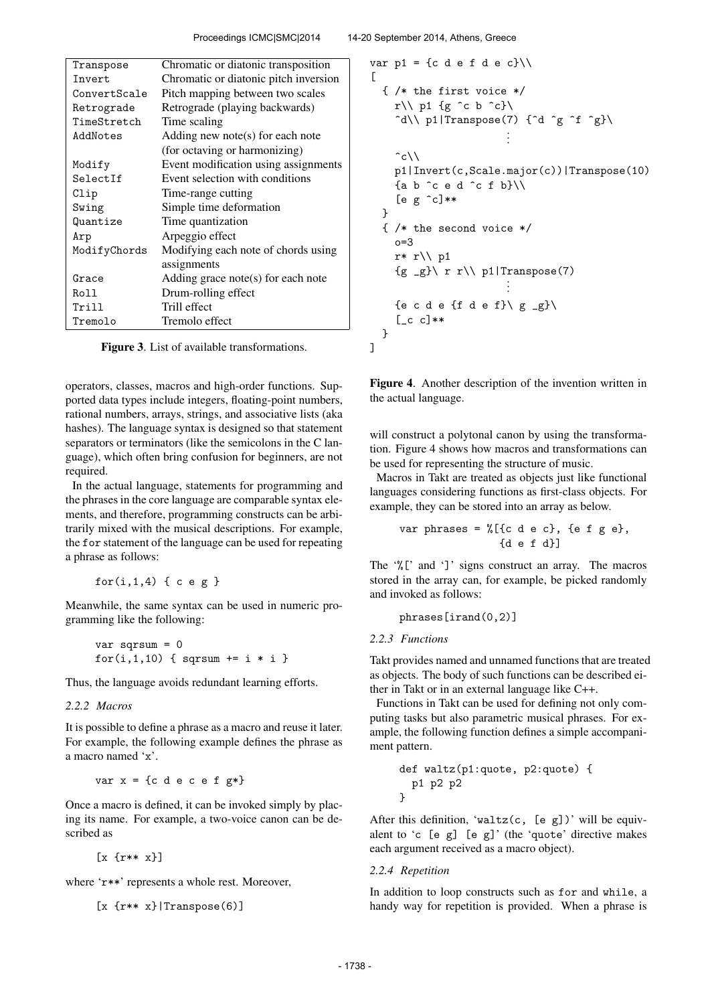| Transpose    | Chromatic or diatonic transposition   |  |
|--------------|---------------------------------------|--|
| Invert       | Chromatic or diatonic pitch inversion |  |
| ConvertScale | Pitch mapping between two scales      |  |
| Retrograde   | Retrograde (playing backwards)        |  |
| TimeStretch  | Time scaling                          |  |
| AddNotes     | Adding new note(s) for each note      |  |
|              | (for octaving or harmonizing)         |  |
| Modify       | Event modification using assignments  |  |
| SelectIf     | Event selection with conditions       |  |
| Clip         | Time-range cutting                    |  |
| Swing        | Simple time deformation               |  |
| Quantize     | Time quantization                     |  |
| Arp          | Arpeggio effect                       |  |
| ModifyChords | Modifying each note of chords using   |  |
|              | assignments                           |  |
| Grace        | Adding grace note(s) for each note    |  |
| Roll         | Drum-rolling effect                   |  |
| Trill        | Trill effect                          |  |
| Tremolo      | Tremolo effect                        |  |

Figure 3. List of available transformations.

operators, classes, macros and high-order functions. Supported data types include integers, floating-point numbers, rational numbers, arrays, strings, and associative lists (aka hashes). The language syntax is designed so that statement separators or terminators (like the semicolons in the C language), which often bring confusion for beginners, are not required.

In the actual language, statements for programming and the phrases in the core language are comparable syntax elements, and therefore, programming constructs can be arbitrarily mixed with the musical descriptions. For example, the for statement of the language can be used for repeating a phrase as follows:

```
for(i,1,4) { c e g }
```
Meanwhile, the same syntax can be used in numeric programming like the following:

```
var sqrsum = 0
for(i,1,10) { sqrt + = i * i }
```
Thus, the language avoids redundant learning efforts.

### *2.2.2 Macros*

It is possible to define a phrase as a macro and reuse it later. For example, the following example defines the phrase as a macro named 'x'.

```
var x = \{c \in c \in c \in f \leq r^*\}
```
Once a macro is defined, it can be invoked simply by placing its name. For example, a two-voice canon can be described as

[x {r\*\* x}]

where 'r\*\*' represents a whole rest. Moreover,

```
[x \{r** x\} | \text{Transpose}(6)]
```

```
var p1 = {c d e f d e c}\\
\Gamma{ /* the first voice */
    r\\p1 {g ^c b ^c}\
     \hat{d}\ p1|Transpose(7) {\hat{d} \hat{g} \hat{f} \hat{g}\.
                            .
                            .
     \hat{c}\setminusp1|Invert(c,Scale.major(c))|Transpose(10)
     {a b ^c e d ^c f b}\\
     [e g \n\degree c]**
  }
  { /* the second voice */
    n=3r* r\\ p1
     {g \leq g} \ r r \ \ Q \ p1| \text{Transpose}(7).
                            .
    {e c d e {f d e f}\ g_g}\
     [-c \ c]**}
]
```
Figure 4. Another description of the invention written in the actual language.

will construct a polytonal canon by using the transformation. Figure 4 shows how macros and transformations can be used for representing the structure of music.

Macros in Takt are treated as objects just like functional languages considering functions as first-class objects. For example, they can be stored into an array as below.

$$
\text{var phrases} = \text{\%}[\{c \ d \ e \ c\}, \ \{e \ f \ g \ e\}, \ \{d \ e \ f \ d\}]
$$

The '%[' and ']' signs construct an array. The macros stored in the array can, for example, be picked randomly and invoked as follows:

phrases[irand(0,2)]

#### *2.2.3 Functions*

Takt provides named and unnamed functions that are treated as objects. The body of such functions can be described either in Takt or in an external language like C++.

Functions in Takt can be used for defining not only computing tasks but also parametric musical phrases. For example, the following function defines a simple accompaniment pattern.

def waltz(p1:quote, p2:quote) { p1 p2 p2 }

After this definition, 'waltz $(c, [e \ g])$ ' will be equivalent to 'c  $[e \ g]$   $[e \ g]'$  (the 'quote' directive makes each argument received as a macro object).

## *2.2.4 Repetition*

In addition to loop constructs such as for and while, a handy way for repetition is provided. When a phrase is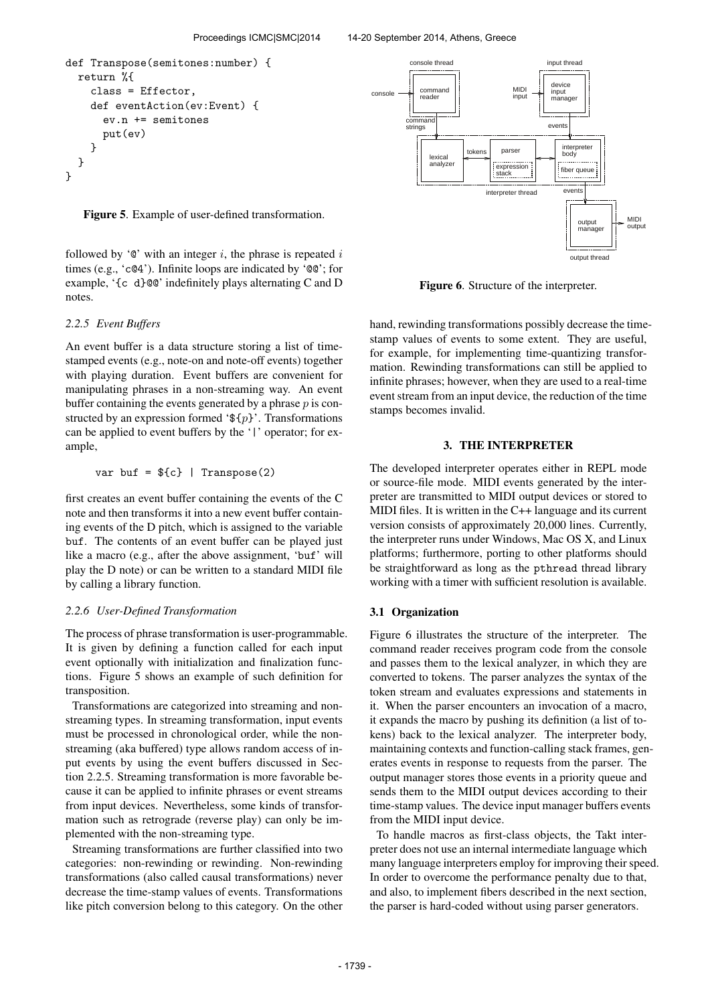```
def Transpose(semitones:number) {
  return %{
    class = Effector,
    def eventAction(ev:Event) {
      ev.n += semitones
      put(ev)
    }
  }
}
```
Figure 5. Example of user-defined transformation.

followed by ' $\mathcal{C}'$  with an integer i, the phrase is repeated i times (e.g., 'c@4'). Infinite loops are indicated by '@@'; for example, '{c d}@@' indefinitely plays alternating C and D notes.

#### *2.2.5 Event Buffers*

An event buffer is a data structure storing a list of timestamped events (e.g., note-on and note-off events) together with playing duration. Event buffers are convenient for manipulating phrases in a non-streaming way. An event buffer containing the events generated by a phrase  $p$  is constructed by an expression formed ' $\mathfrak{F}{p}$ '. Transformations can be applied to event buffers by the '|' operator; for example,

$$
var \; but = \${c} \; | \; Transpose(2)
$$

first creates an event buffer containing the events of the C note and then transforms it into a new event buffer containing events of the D pitch, which is assigned to the variable buf. The contents of an event buffer can be played just like a macro (e.g., after the above assignment, 'buf' will play the D note) or can be written to a standard MIDI file by calling a library function.

### *2.2.6 User-Defined Transformation*

The process of phrase transformation is user-programmable. It is given by defining a function called for each input event optionally with initialization and finalization functions. Figure 5 shows an example of such definition for transposition.

Transformations are categorized into streaming and nonstreaming types. In streaming transformation, input events must be processed in chronological order, while the nonstreaming (aka buffered) type allows random access of input events by using the event buffers discussed in Section 2.2.5. Streaming transformation is more favorable because it can be applied to infinite phrases or event streams from input devices. Nevertheless, some kinds of transformation such as retrograde (reverse play) can only be implemented with the non-streaming type.

Streaming transformations are further classified into two categories: non-rewinding or rewinding. Non-rewinding transformations (also called causal transformations) never decrease the time-stamp values of events. Transformations like pitch conversion belong to this category. On the other



Figure 6. Structure of the interpreter.

hand, rewinding transformations possibly decrease the timestamp values of events to some extent. They are useful, for example, for implementing time-quantizing transformation. Rewinding transformations can still be applied to infinite phrases; however, when they are used to a real-time event stream from an input device, the reduction of the time stamps becomes invalid.

## 3. THE INTERPRETER

The developed interpreter operates either in REPL mode or source-file mode. MIDI events generated by the interpreter are transmitted to MIDI output devices or stored to MIDI files. It is written in the C++ language and its current version consists of approximately 20,000 lines. Currently, the interpreter runs under Windows, Mac OS X, and Linux platforms; furthermore, porting to other platforms should be straightforward as long as the pthread thread library working with a timer with sufficient resolution is available.

#### 3.1 Organization

Figure 6 illustrates the structure of the interpreter. The command reader receives program code from the console and passes them to the lexical analyzer, in which they are converted to tokens. The parser analyzes the syntax of the token stream and evaluates expressions and statements in it. When the parser encounters an invocation of a macro, it expands the macro by pushing its definition (a list of tokens) back to the lexical analyzer. The interpreter body, maintaining contexts and function-calling stack frames, generates events in response to requests from the parser. The output manager stores those events in a priority queue and sends them to the MIDI output devices according to their time-stamp values. The device input manager buffers events from the MIDI input device.

To handle macros as first-class objects, the Takt interpreter does not use an internal intermediate language which many language interpreters employ for improving their speed. In order to overcome the performance penalty due to that, and also, to implement fibers described in the next section, the parser is hard-coded without using parser generators.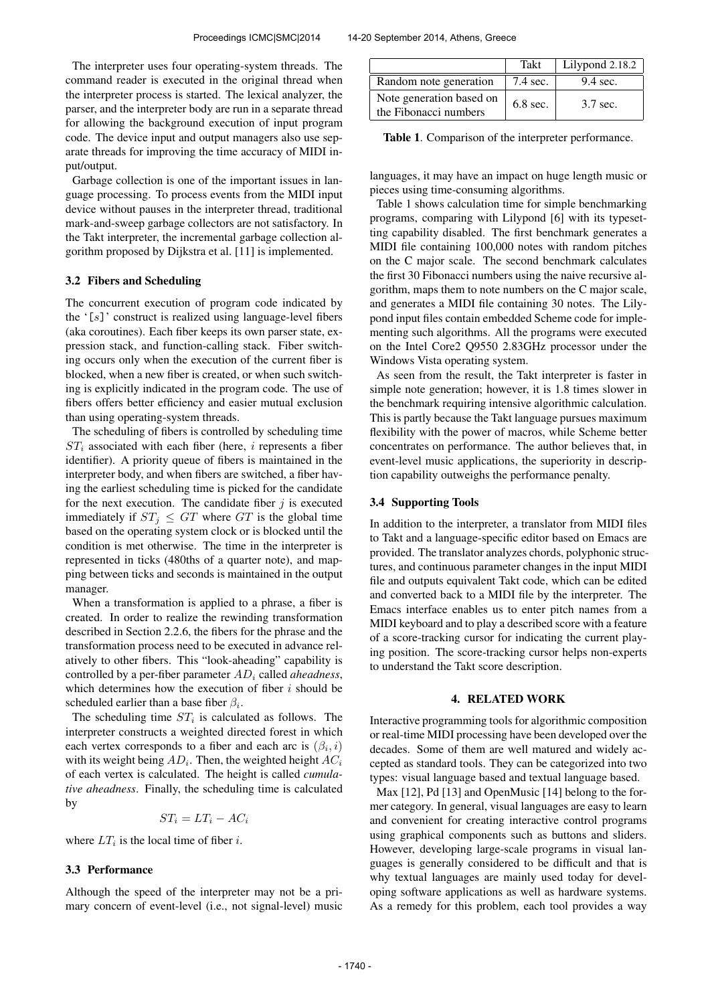The interpreter uses four operating-system threads. The command reader is executed in the original thread when the interpreter process is started. The lexical analyzer, the parser, and the interpreter body are run in a separate thread for allowing the background execution of input program code. The device input and output managers also use separate threads for improving the time accuracy of MIDI input/output.

Garbage collection is one of the important issues in language processing. To process events from the MIDI input device without pauses in the interpreter thread, traditional mark-and-sweep garbage collectors are not satisfactory. In the Takt interpreter, the incremental garbage collection algorithm proposed by Dijkstra et al. [11] is implemented.

#### 3.2 Fibers and Scheduling

The concurrent execution of program code indicated by the  $'[s]$ ' construct is realized using language-level fibers (aka coroutines). Each fiber keeps its own parser state, expression stack, and function-calling stack. Fiber switching occurs only when the execution of the current fiber is blocked, when a new fiber is created, or when such switching is explicitly indicated in the program code. The use of fibers offers better efficiency and easier mutual exclusion than using operating-system threads.

The scheduling of fibers is controlled by scheduling time  $ST_i$  associated with each fiber (here, i represents a fiber identifier). A priority queue of fibers is maintained in the interpreter body, and when fibers are switched, a fiber having the earliest scheduling time is picked for the candidate for the next execution. The candidate fiber  $j$  is executed immediately if  $ST_i \le GT$  where GT is the global time based on the operating system clock or is blocked until the condition is met otherwise. The time in the interpreter is represented in ticks (480ths of a quarter note), and mapping between ticks and seconds is maintained in the output manager.

When a transformation is applied to a phrase, a fiber is created. In order to realize the rewinding transformation described in Section 2.2.6, the fibers for the phrase and the transformation process need to be executed in advance relatively to other fibers. This "look-aheading" capability is controlled by a per-fiber parameter  $AD<sub>i</sub>$  called *aheadness*, which determines how the execution of fiber  $i$  should be scheduled earlier than a base fiber  $\beta_i$ .

The scheduling time  $ST_i$  is calculated as follows. The interpreter constructs a weighted directed forest in which each vertex corresponds to a fiber and each arc is  $(\beta_i, i)$ with its weight being  $AD_i$ . Then, the weighted height  $AC_i$ of each vertex is calculated. The height is called *cumulative aheadness*. Finally, the scheduling time is calculated by

$$
ST_i = LT_i - AC_i
$$

where  $LT_i$  is the local time of fiber *i*.

#### 3.3 Performance

Although the speed of the interpreter may not be a primary concern of event-level (i.e., not signal-level) music

|                                                   | Takt       | Lilypond 2.18.2 |
|---------------------------------------------------|------------|-----------------|
| Random note generation                            | 7.4 sec.   | $9.4$ sec.      |
| Note generation based on<br>the Fibonacci numbers | $6.8$ sec. | 3.7 sec.        |

Table 1. Comparison of the interpreter performance.

languages, it may have an impact on huge length music or pieces using time-consuming algorithms.

Table 1 shows calculation time for simple benchmarking programs, comparing with Lilypond [6] with its typesetting capability disabled. The first benchmark generates a MIDI file containing 100,000 notes with random pitches on the C major scale. The second benchmark calculates the first 30 Fibonacci numbers using the naive recursive algorithm, maps them to note numbers on the C major scale, and generates a MIDI file containing 30 notes. The Lilypond input files contain embedded Scheme code for implementing such algorithms. All the programs were executed on the Intel Core2 Q9550 2.83GHz processor under the Windows Vista operating system.

As seen from the result, the Takt interpreter is faster in simple note generation; however, it is 1.8 times slower in the benchmark requiring intensive algorithmic calculation. This is partly because the Takt language pursues maximum flexibility with the power of macros, while Scheme better concentrates on performance. The author believes that, in event-level music applications, the superiority in description capability outweighs the performance penalty.

#### 3.4 Supporting Tools

In addition to the interpreter, a translator from MIDI files to Takt and a language-specific editor based on Emacs are provided. The translator analyzes chords, polyphonic structures, and continuous parameter changes in the input MIDI file and outputs equivalent Takt code, which can be edited and converted back to a MIDI file by the interpreter. The Emacs interface enables us to enter pitch names from a MIDI keyboard and to play a described score with a feature of a score-tracking cursor for indicating the current playing position. The score-tracking cursor helps non-experts to understand the Takt score description.

## 4. RELATED WORK

Interactive programming tools for algorithmic composition or real-time MIDI processing have been developed over the decades. Some of them are well matured and widely accepted as standard tools. They can be categorized into two types: visual language based and textual language based.

Max [12], Pd [13] and OpenMusic [14] belong to the former category. In general, visual languages are easy to learn and convenient for creating interactive control programs using graphical components such as buttons and sliders. However, developing large-scale programs in visual languages is generally considered to be difficult and that is why textual languages are mainly used today for developing software applications as well as hardware systems. As a remedy for this problem, each tool provides a way